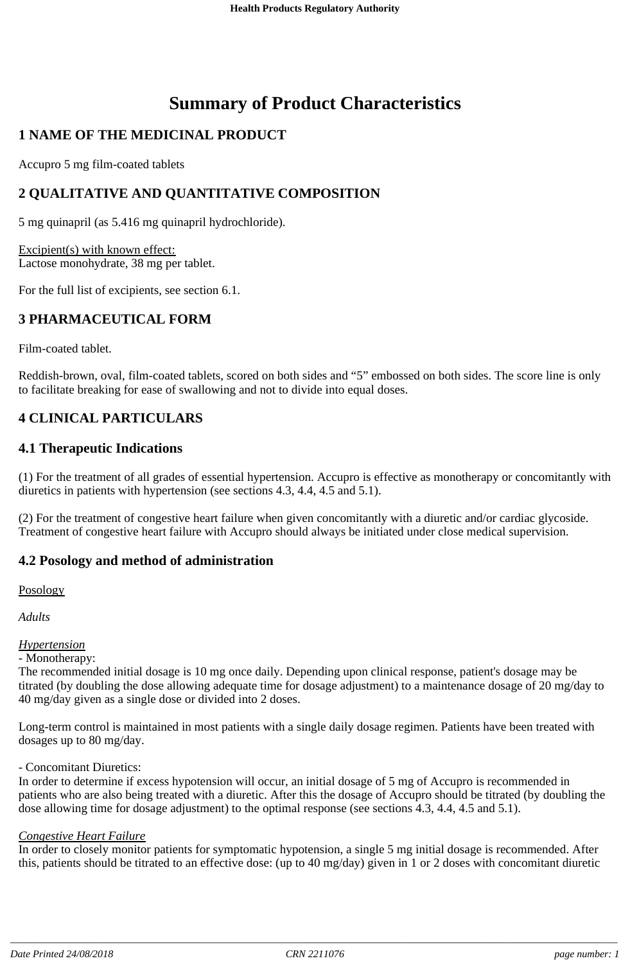# **Summary of Product Characteristics**

# **1 NAME OF THE MEDICINAL PRODUCT**

Accupro 5 mg film-coated tablets

# **2 QUALITATIVE AND QUANTITATIVE COMPOSITION**

5 mg quinapril (as 5.416 mg quinapril hydrochloride).

Excipient(s) with known effect: Lactose monohydrate, 38 mg per tablet.

For the full list of excipients, see section 6.1.

# **3 PHARMACEUTICAL FORM**

Film-coated tablet.

Reddish-brown, oval, film-coated tablets, scored on both sides and "5" embossed on both sides. The score line is only to facilitate breaking for ease of swallowing and not to divide into equal doses.

# **4 CLINICAL PARTICULARS**

### **4.1 Therapeutic Indications**

(1) For the treatment of all grades of essential hypertension. Accupro is effective as monotherapy or concomitantly with diuretics in patients with hypertension (see sections 4.3, 4.4, 4.5 and 5.1).

(2) For the treatment of congestive heart failure when given concomitantly with a diuretic and/or cardiac glycoside. Treatment of congestive heart failure with Accupro should always be initiated under close medical supervision.

### **4.2 Posology and method of administration**

Posology

*Adults*

### *Hypertension*

- Monotherapy:

The recommended initial dosage is 10 mg once daily. Depending upon clinical response, patient's dosage may be titrated (by doubling the dose allowing adequate time for dosage adjustment) to a maintenance dosage of 20 mg/day to 40 mg/day given as a single dose or divided into 2 doses.

Long-term control is maintained in most patients with a single daily dosage regimen. Patients have been treated with dosages up to 80 mg/day.

#### - Concomitant Diuretics:

In order to determine if excess hypotension will occur, an initial dosage of 5 mg of Accupro is recommended in patients who are also being treated with a diuretic. After this the dosage of Accupro should be titrated (by doubling the dose allowing time for dosage adjustment) to the optimal response (see sections 4.3, 4.4, 4.5 and 5.1).

#### *Congestive Heart Failure*

In order to closely monitor patients for symptomatic hypotension, a single 5 mg initial dosage is recommended. After this, patients should be titrated to an effective dose: (up to 40 mg/day) given in 1 or 2 doses with concomitant diuretic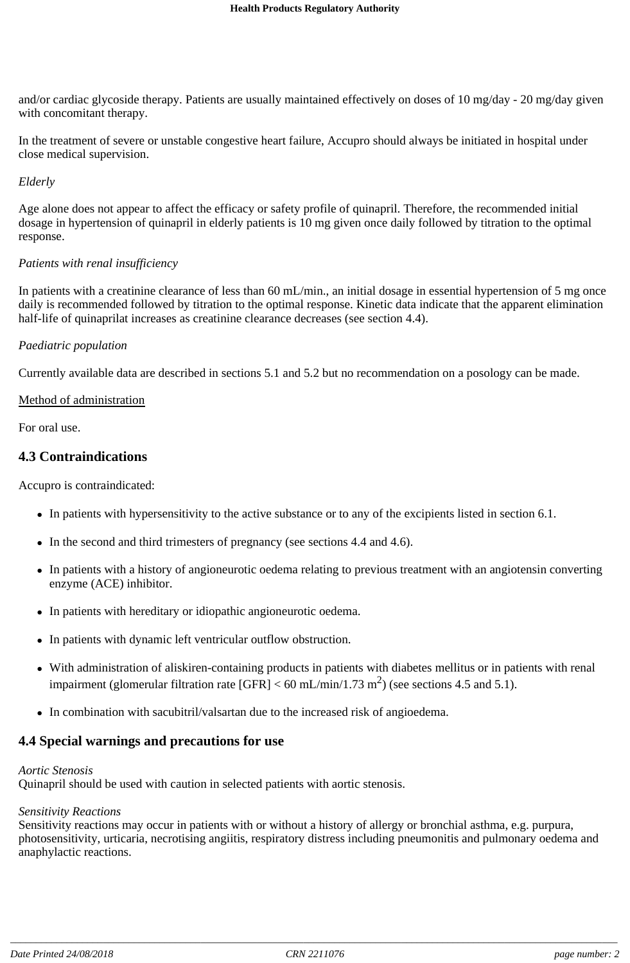and/or cardiac glycoside therapy. Patients are usually maintained effectively on doses of 10 mg/day - 20 mg/day given with concomitant therapy.

In the treatment of severe or unstable congestive heart failure, Accupro should always be initiated in hospital under close medical supervision.

#### *Elderly*

Age alone does not appear to affect the efficacy or safety profile of quinapril. Therefore, the recommended initial dosage in hypertension of quinapril in elderly patients is 10 mg given once daily followed by titration to the optimal response.

### *Patients with renal insufficiency*

In patients with a creatinine clearance of less than 60 mL/min., an initial dosage in essential hypertension of 5 mg once daily is recommended followed by titration to the optimal response. Kinetic data indicate that the apparent elimination half-life of quinaprilat increases as creatinine clearance decreases (see section 4.4).

### *Paediatric population*

Currently available data are described in sections 5.1 and 5.2 but no recommendation on a posology can be made.

#### Method of administration

For oral use.

### **4.3 Contraindications**

Accupro is contraindicated:

- In patients with hypersensitivity to the active substance or to any of the excipients listed in section 6.1.
- In the second and third trimesters of pregnancy (see sections 4.4 and 4.6).
- In patients with a history of angioneurotic oedema relating to previous treatment with an angiotensin converting enzyme (ACE) inhibitor.
- In patients with hereditary or idiopathic angioneurotic oedema.
- In patients with dynamic left ventricular outflow obstruction.
- With administration of aliskiren-containing products in patients with diabetes mellitus or in patients with renal impairment (glomerular filtration rate [GFR] < 60 mL/min/1.73 m<sup>2</sup>) (see sections 4.5 and 5.1).
- In combination with sacubitril/valsartan due to the increased risk of angioedema.

### **4.4 Special warnings and precautions for use**

#### *Aortic Stenosis*

Quinapril should be used with caution in selected patients with aortic stenosis.

#### *Sensitivity Reactions*

Sensitivity reactions may occur in patients with or without a history of allergy or bronchial asthma, e.g. purpura, photosensitivity, urticaria, necrotising angiitis, respiratory distress including pneumonitis and pulmonary oedema and anaphylactic reactions.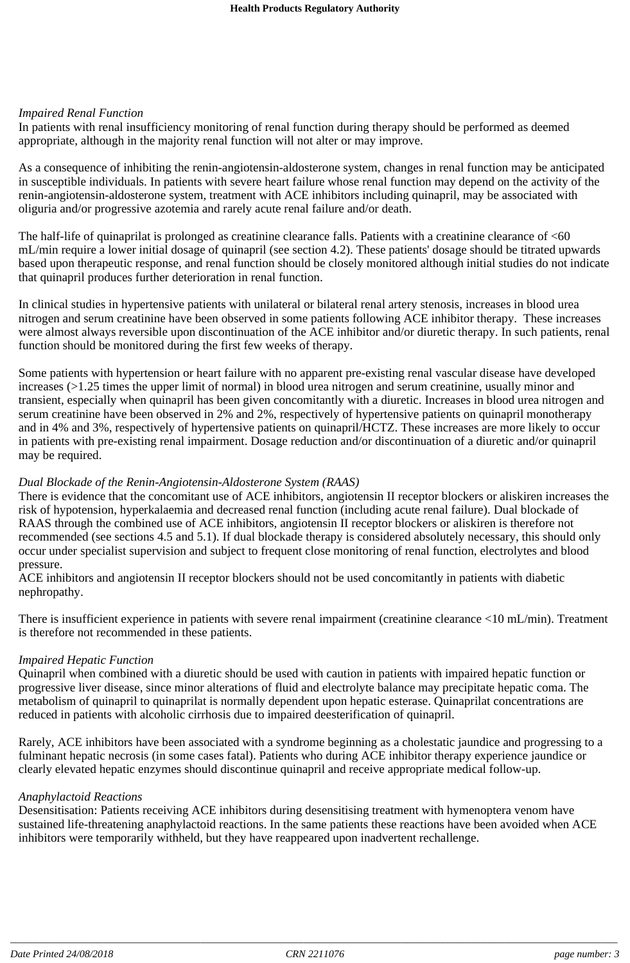#### *Impaired Renal Function*

In patients with renal insufficiency monitoring of renal function during therapy should be performed as deemed appropriate, although in the majority renal function will not alter or may improve.

As a consequence of inhibiting the renin-angiotensin-aldosterone system, changes in renal function may be anticipated in susceptible individuals. In patients with severe heart failure whose renal function may depend on the activity of the renin-angiotensin-aldosterone system, treatment with ACE inhibitors including quinapril, may be associated with oliguria and/or progressive azotemia and rarely acute renal failure and/or death.

The half-life of quinaprilat is prolonged as creatinine clearance falls. Patients with a creatinine clearance of <60 mL/min require a lower initial dosage of quinapril (see section 4.2). These patients' dosage should be titrated upwards based upon therapeutic response, and renal function should be closely monitored although initial studies do not indicate that quinapril produces further deterioration in renal function.

In clinical studies in hypertensive patients with unilateral or bilateral renal artery stenosis, increases in blood urea nitrogen and serum creatinine have been observed in some patients following ACE inhibitor therapy. These increases were almost always reversible upon discontinuation of the ACE inhibitor and/or diuretic therapy. In such patients, renal function should be monitored during the first few weeks of therapy.

Some patients with hypertension or heart failure with no apparent pre-existing renal vascular disease have developed increases (>1.25 times the upper limit of normal) in blood urea nitrogen and serum creatinine, usually minor and transient, especially when quinapril has been given concomitantly with a diuretic. Increases in blood urea nitrogen and serum creatinine have been observed in 2% and 2%, respectively of hypertensive patients on quinapril monotherapy and in 4% and 3%, respectively of hypertensive patients on quinapril/HCTZ. These increases are more likely to occur in patients with pre-existing renal impairment. Dosage reduction and/or discontinuation of a diuretic and/or quinapril may be required.

#### *Dual Blockade of the Renin-Angiotensin-Aldosterone System (RAAS)*

There is evidence that the concomitant use of ACE inhibitors, angiotensin II receptor blockers or aliskiren increases the risk of hypotension, hyperkalaemia and decreased renal function (including acute renal failure). Dual blockade of RAAS through the combined use of ACE inhibitors, angiotensin II receptor blockers or aliskiren is therefore not recommended (see sections 4.5 and 5.1). If dual blockade therapy is considered absolutely necessary, this should only occur under specialist supervision and subject to frequent close monitoring of renal function, electrolytes and blood pressure.

ACE inhibitors and angiotensin II receptor blockers should not be used concomitantly in patients with diabetic nephropathy.

There is insufficient experience in patients with severe renal impairment (creatinine clearance <10 mL/min). Treatment is therefore not recommended in these patients.

#### *Impaired Hepatic Function*

Quinapril when combined with a diuretic should be used with caution in patients with impaired hepatic function or progressive liver disease, since minor alterations of fluid and electrolyte balance may precipitate hepatic coma. The metabolism of quinapril to quinaprilat is normally dependent upon hepatic esterase. Quinaprilat concentrations are reduced in patients with alcoholic cirrhosis due to impaired deesterification of quinapril.

Rarely, ACE inhibitors have been associated with a syndrome beginning as a cholestatic jaundice and progressing to a fulminant hepatic necrosis (in some cases fatal). Patients who during ACE inhibitor therapy experience jaundice or clearly elevated hepatic enzymes should discontinue quinapril and receive appropriate medical follow-up.

#### *Anaphylactoid Reactions*

Desensitisation: Patients receiving ACE inhibitors during desensitising treatment with hymenoptera venom have sustained life-threatening anaphylactoid reactions. In the same patients these reactions have been avoided when ACE inhibitors were temporarily withheld, but they have reappeared upon inadvertent rechallenge.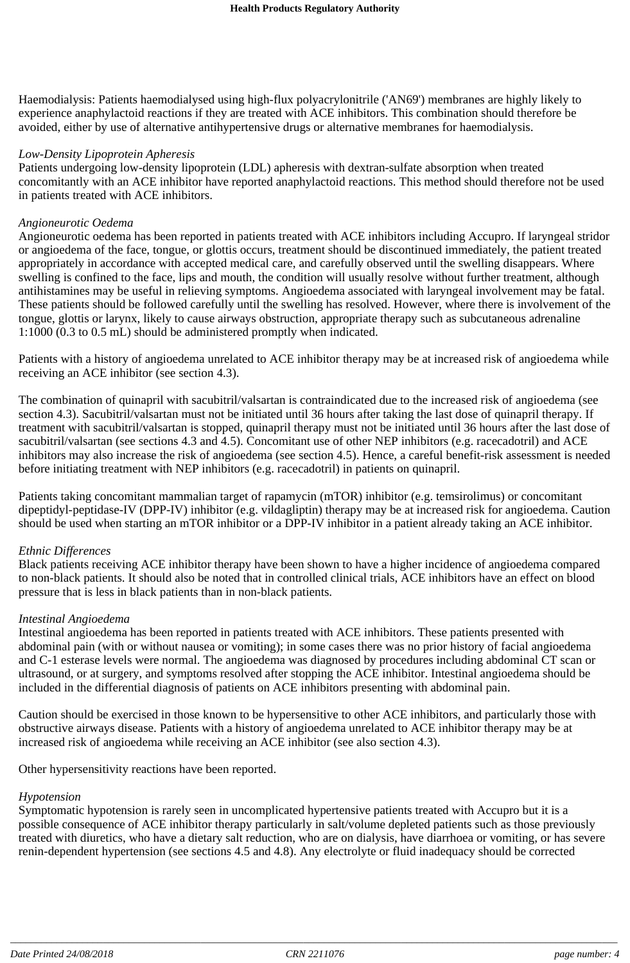Haemodialysis: Patients haemodialysed using high-flux polyacrylonitrile ('AN69') membranes are highly likely to experience anaphylactoid reactions if they are treated with ACE inhibitors. This combination should therefore be avoided, either by use of alternative antihypertensive drugs or alternative membranes for haemodialysis.

#### *Low-Density Lipoprotein Apheresis*

Patients undergoing low-density lipoprotein (LDL) apheresis with dextran-sulfate absorption when treated concomitantly with an ACE inhibitor have reported anaphylactoid reactions. This method should therefore not be used in patients treated with ACE inhibitors.

#### *Angioneurotic Oedema*

Angioneurotic oedema has been reported in patients treated with ACE inhibitors including Accupro. If laryngeal stridor or angioedema of the face, tongue, or glottis occurs, treatment should be discontinued immediately, the patient treated appropriately in accordance with accepted medical care, and carefully observed until the swelling disappears. Where swelling is confined to the face, lips and mouth, the condition will usually resolve without further treatment, although antihistamines may be useful in relieving symptoms. Angioedema associated with laryngeal involvement may be fatal. These patients should be followed carefully until the swelling has resolved. However, where there is involvement of the tongue, glottis or larynx, likely to cause airways obstruction, appropriate therapy such as subcutaneous adrenaline 1:1000 (0.3 to 0.5 mL) should be administered promptly when indicated.

Patients with a history of angioedema unrelated to ACE inhibitor therapy may be at increased risk of angioedema while receiving an ACE inhibitor (see section 4.3).

The combination of quinapril with sacubitril/valsartan is contraindicated due to the increased risk of angioedema (see section 4.3). Sacubitril/valsartan must not be initiated until 36 hours after taking the last dose of quinapril therapy. If treatment with sacubitril/valsartan is stopped, quinapril therapy must not be initiated until 36 hours after the last dose of sacubitril/valsartan (see sections 4.3 and 4.5). Concomitant use of other NEP inhibitors (e.g. racecadotril) and ACE inhibitors may also increase the risk of angioedema (see section 4.5). Hence, a careful benefit-risk assessment is needed before initiating treatment with NEP inhibitors (e.g. racecadotril) in patients on quinapril.

Patients taking concomitant mammalian target of rapamycin (mTOR) inhibitor (e.g. temsirolimus) or concomitant dipeptidyl-peptidase-IV (DPP-IV) inhibitor (e.g. vildagliptin) therapy may be at increased risk for angioedema. Caution should be used when starting an mTOR inhibitor or a DPP-IV inhibitor in a patient already taking an ACE inhibitor.

#### *Ethnic Differences*

Black patients receiving ACE inhibitor therapy have been shown to have a higher incidence of angioedema compared to non-black patients. It should also be noted that in controlled clinical trials, ACE inhibitors have an effect on blood pressure that is less in black patients than in non-black patients.

#### *Intestinal Angioedema*

Intestinal angioedema has been reported in patients treated with ACE inhibitors. These patients presented with abdominal pain (with or without nausea or vomiting); in some cases there was no prior history of facial angioedema and C-1 esterase levels were normal. The angioedema was diagnosed by procedures including abdominal CT scan or ultrasound, or at surgery, and symptoms resolved after stopping the ACE inhibitor. Intestinal angioedema should be included in the differential diagnosis of patients on ACE inhibitors presenting with abdominal pain.

Caution should be exercised in those known to be hypersensitive to other ACE inhibitors, and particularly those with obstructive airways disease. Patients with a history of angioedema unrelated to ACE inhibitor therapy may be at increased risk of angioedema while receiving an ACE inhibitor (see also section 4.3).

Other hypersensitivity reactions have been reported.

#### *Hypotension*

Symptomatic hypotension is rarely seen in uncomplicated hypertensive patients treated with Accupro but it is a possible consequence of ACE inhibitor therapy particularly in salt/volume depleted patients such as those previously treated with diuretics, who have a dietary salt reduction, who are on dialysis, have diarrhoea or vomiting, or has severe renin-dependent hypertension (see sections 4.5 and 4.8). Any electrolyte or fluid inadequacy should be corrected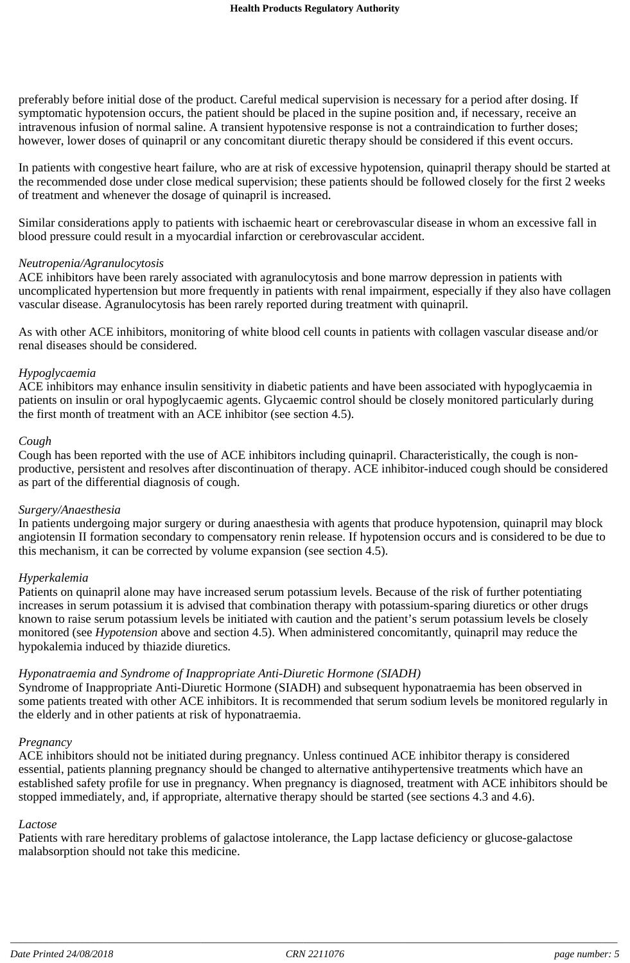preferably before initial dose of the product. Careful medical supervision is necessary for a period after dosing. If symptomatic hypotension occurs, the patient should be placed in the supine position and, if necessary, receive an intravenous infusion of normal saline. A transient hypotensive response is not a contraindication to further doses; however, lower doses of quinapril or any concomitant diuretic therapy should be considered if this event occurs.

In patients with congestive heart failure, who are at risk of excessive hypotension, quinapril therapy should be started at the recommended dose under close medical supervision; these patients should be followed closely for the first 2 weeks of treatment and whenever the dosage of quinapril is increased.

Similar considerations apply to patients with ischaemic heart or cerebrovascular disease in whom an excessive fall in blood pressure could result in a myocardial infarction or cerebrovascular accident.

#### *Neutropenia/Agranulocytosis*

ACE inhibitors have been rarely associated with agranulocytosis and bone marrow depression in patients with uncomplicated hypertension but more frequently in patients with renal impairment, especially if they also have collagen vascular disease. Agranulocytosis has been rarely reported during treatment with quinapril.

As with other ACE inhibitors, monitoring of white blood cell counts in patients with collagen vascular disease and/or renal diseases should be considered.

#### *Hypoglycaemia*

ACE inhibitors may enhance insulin sensitivity in diabetic patients and have been associated with hypoglycaemia in patients on insulin or oral hypoglycaemic agents. Glycaemic control should be closely monitored particularly during the first month of treatment with an ACE inhibitor (see section 4.5).

#### *Cough*

Cough has been reported with the use of ACE inhibitors including quinapril. Characteristically, the cough is nonproductive, persistent and resolves after discontinuation of therapy. ACE inhibitor-induced cough should be considered as part of the differential diagnosis of cough.

#### *Surgery/Anaesthesia*

In patients undergoing major surgery or during anaesthesia with agents that produce hypotension, quinapril may block angiotensin II formation secondary to compensatory renin release. If hypotension occurs and is considered to be due to this mechanism, it can be corrected by volume expansion (see section 4.5).

#### *Hyperkalemia*

Patients on quinapril alone may have increased serum potassium levels. Because of the risk of further potentiating increases in serum potassium it is advised that combination therapy with potassium-sparing diuretics or other drugs known to raise serum potassium levels be initiated with caution and the patient's serum potassium levels be closely monitored (see *Hypotension* above and section 4.5). When administered concomitantly, quinapril may reduce the hypokalemia induced by thiazide diuretics.

#### *Hyponatraemia and Syndrome of Inappropriate Anti-Diuretic Hormone (SIADH)*

Syndrome of Inappropriate Anti-Diuretic Hormone (SIADH) and subsequent hyponatraemia has been observed in some patients treated with other ACE inhibitors. It is recommended that serum sodium levels be monitored regularly in the elderly and in other patients at risk of hyponatraemia.

#### *Pregnancy*

ACE inhibitors should not be initiated during pregnancy. Unless continued ACE inhibitor therapy is considered essential, patients planning pregnancy should be changed to alternative antihypertensive treatments which have an established safety profile for use in pregnancy. When pregnancy is diagnosed, treatment with ACE inhibitors should be stopped immediately, and, if appropriate, alternative therapy should be started (see sections 4.3 and 4.6).

#### *Lactose*

Patients with rare hereditary problems of galactose intolerance, the Lapp lactase deficiency or glucose-galactose malabsorption should not take this medicine.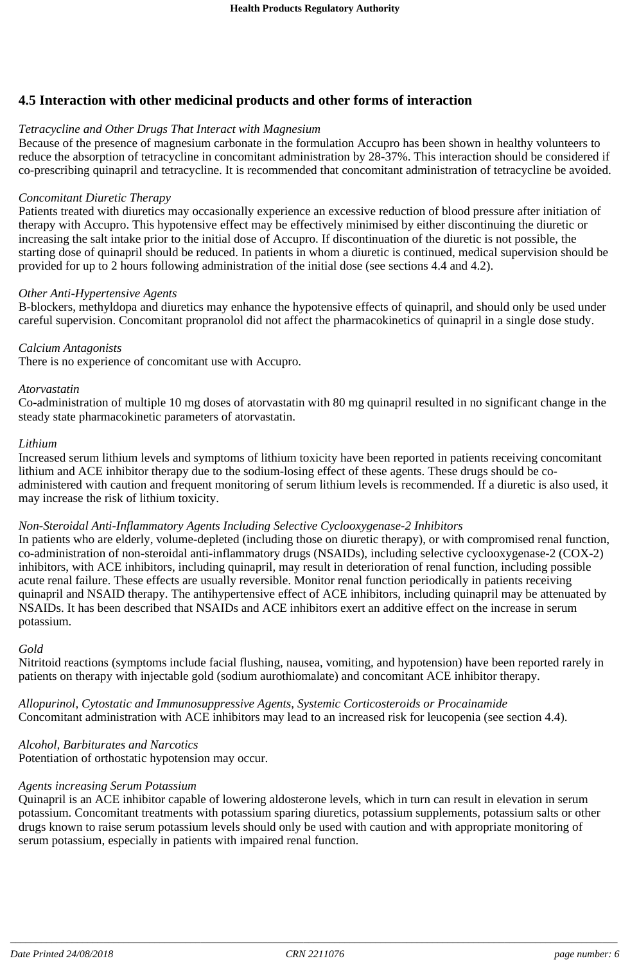# **4.5 Interaction with other medicinal products and other forms of interaction**

### *Tetracycline and Other Drugs That Interact with Magnesium*

Because of the presence of magnesium carbonate in the formulation Accupro has been shown in healthy volunteers to reduce the absorption of tetracycline in concomitant administration by 28-37%. This interaction should be considered if co-prescribing quinapril and tetracycline. It is recommended that concomitant administration of tetracycline be avoided.

#### *Concomitant Diuretic Therapy*

Patients treated with diuretics may occasionally experience an excessive reduction of blood pressure after initiation of therapy with Accupro. This hypotensive effect may be effectively minimised by either discontinuing the diuretic or increasing the salt intake prior to the initial dose of Accupro. If discontinuation of the diuretic is not possible, the starting dose of quinapril should be reduced. In patients in whom a diuretic is continued, medical supervision should be provided for up to 2 hours following administration of the initial dose (see sections 4.4 and 4.2).

#### *Other Anti-Hypertensive Agents*

B-blockers, methyldopa and diuretics may enhance the hypotensive effects of quinapril, and should only be used under careful supervision. Concomitant propranolol did not affect the pharmacokinetics of quinapril in a single dose study.

#### *Calcium Antagonists*

There is no experience of concomitant use with Accupro.

#### *Atorvastatin*

Co-administration of multiple 10 mg doses of atorvastatin with 80 mg quinapril resulted in no significant change in the steady state pharmacokinetic parameters of atorvastatin.

#### *Lithium*

Increased serum lithium levels and symptoms of lithium toxicity have been reported in patients receiving concomitant lithium and ACE inhibitor therapy due to the sodium-losing effect of these agents. These drugs should be coadministered with caution and frequent monitoring of serum lithium levels is recommended. If a diuretic is also used, it may increase the risk of lithium toxicity.

#### *Non-Steroidal Anti-Inflammatory Agents Including Selective Cyclooxygenase-2 Inhibitors*

In patients who are elderly, volume-depleted (including those on diuretic therapy), or with compromised renal function, co-administration of non-steroidal anti-inflammatory drugs (NSAIDs), including selective cyclooxygenase-2 (COX-2) inhibitors, with ACE inhibitors, including quinapril, may result in deterioration of renal function, including possible acute renal failure. These effects are usually reversible. Monitor renal function periodically in patients receiving quinapril and NSAID therapy. The antihypertensive effect of ACE inhibitors, including quinapril may be attenuated by NSAIDs. It has been described that NSAIDs and ACE inhibitors exert an additive effect on the increase in serum potassium.

#### *Gold*

Nitritoid reactions (symptoms include facial flushing, nausea, vomiting, and hypotension) have been reported rarely in patients on therapy with injectable gold (sodium aurothiomalate) and concomitant ACE inhibitor therapy.

*Allopurinol, Cytostatic and Immunosuppressive Agents, Systemic Corticosteroids or Procainamide* Concomitant administration with ACE inhibitors may lead to an increased risk for leucopenia (see section 4.4).

*Alcohol, Barbiturates and Narcotics* Potentiation of orthostatic hypotension may occur.

#### *Agents increasing Serum Potassium*

Quinapril is an ACE inhibitor capable of lowering aldosterone levels, which in turn can result in elevation in serum potassium. Concomitant treatments with potassium sparing diuretics, potassium supplements, potassium salts or other drugs known to raise serum potassium levels should only be used with caution and with appropriate monitoring of serum potassium, especially in patients with impaired renal function.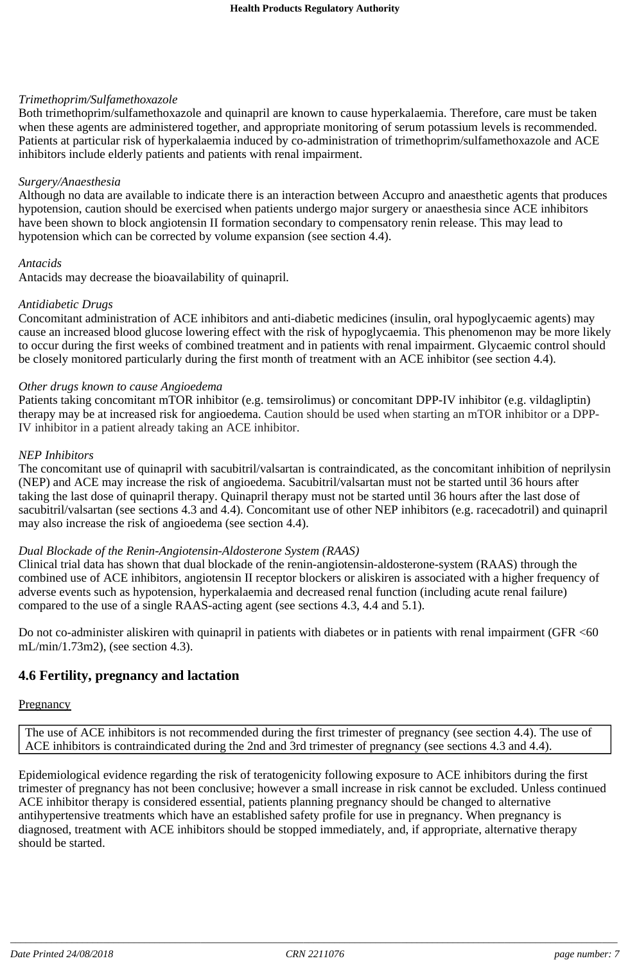#### *Trimethoprim/Sulfamethoxazole*

Both trimethoprim/sulfamethoxazole and quinapril are known to cause hyperkalaemia. Therefore, care must be taken when these agents are administered together, and appropriate monitoring of serum potassium levels is recommended. Patients at particular risk of hyperkalaemia induced by co-administration of trimethoprim/sulfamethoxazole and ACE inhibitors include elderly patients and patients with renal impairment.

#### *Surgery/Anaesthesia*

Although no data are available to indicate there is an interaction between Accupro and anaesthetic agents that produces hypotension, caution should be exercised when patients undergo major surgery or anaesthesia since ACE inhibitors have been shown to block angiotensin II formation secondary to compensatory renin release. This may lead to hypotension which can be corrected by volume expansion (see section 4.4).

#### *Antacids*

Antacids may decrease the bioavailability of quinapril.

#### *Antidiabetic Drugs*

Concomitant administration of ACE inhibitors and anti-diabetic medicines (insulin, oral hypoglycaemic agents) may cause an increased blood glucose lowering effect with the risk of hypoglycaemia. This phenomenon may be more likely to occur during the first weeks of combined treatment and in patients with renal impairment. Glycaemic control should be closely monitored particularly during the first month of treatment with an ACE inhibitor (see section 4.4).

#### *Other drugs known to cause Angioedema*

Patients taking concomitant mTOR inhibitor (e.g. temsirolimus) or concomitant DPP-IV inhibitor (e.g. vildagliptin) therapy may be at increased risk for angioedema. Caution should be used when starting an mTOR inhibitor or a DPP-IV inhibitor in a patient already taking an ACE inhibitor.

#### *NEP Inhibitors*

The concomitant use of quinapril with sacubitril/valsartan is contraindicated, as the concomitant inhibition of neprilysin (NEP) and ACE may increase the risk of angioedema. Sacubitril/valsartan must not be started until 36 hours after taking the last dose of quinapril therapy. Quinapril therapy must not be started until 36 hours after the last dose of sacubitril/valsartan (see sections 4.3 and 4.4). Concomitant use of other NEP inhibitors (e.g. racecadotril) and quinapril may also increase the risk of angioedema (see section 4.4).

#### *Dual Blockade of the Renin-Angiotensin-Aldosterone System (RAAS)*

Clinical trial data has shown that dual blockade of the renin-angiotensin-aldosterone-system (RAAS) through the combined use of ACE inhibitors, angiotensin II receptor blockers or aliskiren is associated with a higher frequency of adverse events such as hypotension, hyperkalaemia and decreased renal function (including acute renal failure) compared to the use of a single RAAS-acting agent (see sections 4.3, 4.4 and 5.1).

Do not co-administer aliskiren with quinapril in patients with diabetes or in patients with renal impairment (GFR <60 mL/min/1.73m2), (see section 4.3).

### **4.6 Fertility, pregnancy and lactation**

#### **Pregnancy**

The use of ACE inhibitors is not recommended during the first trimester of pregnancy (see section 4.4). The use of ACE inhibitors is contraindicated during the 2nd and 3rd trimester of pregnancy (see sections 4.3 and 4.4).

Epidemiological evidence regarding the risk of teratogenicity following exposure to ACE inhibitors during the first trimester of pregnancy has not been conclusive; however a small increase in risk cannot be excluded. Unless continued ACE inhibitor therapy is considered essential, patients planning pregnancy should be changed to alternative antihypertensive treatments which have an established safety profile for use in pregnancy. When pregnancy is diagnosed, treatment with ACE inhibitors should be stopped immediately, and, if appropriate, alternative therapy should be started.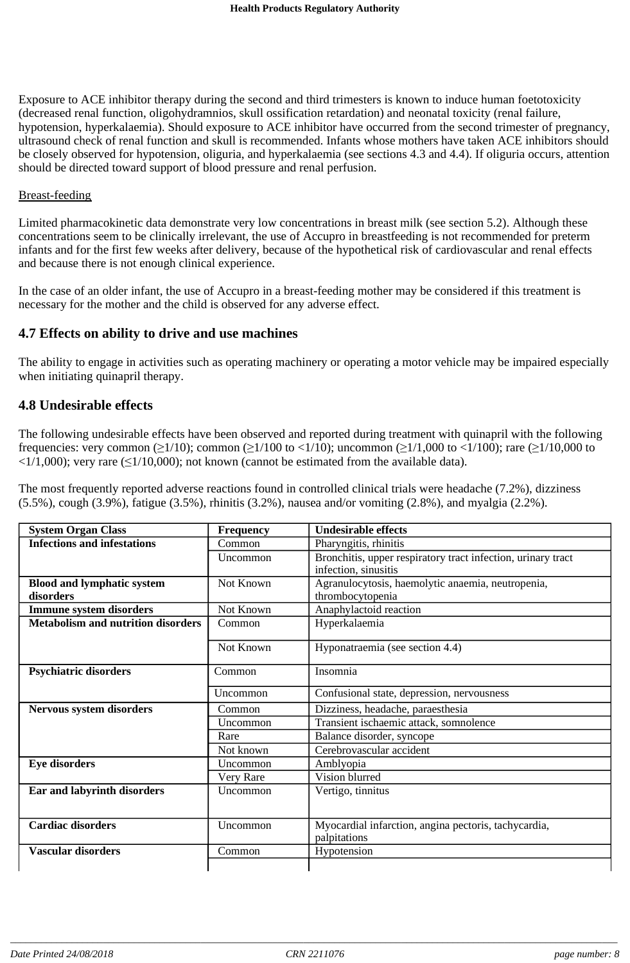Exposure to ACE inhibitor therapy during the second and third trimesters is known to induce human foetotoxicity (decreased renal function, oligohydramnios, skull ossification retardation) and neonatal toxicity (renal failure, hypotension, hyperkalaemia). Should exposure to ACE inhibitor have occurred from the second trimester of pregnancy, ultrasound check of renal function and skull is recommended. Infants whose mothers have taken ACE inhibitors should be closely observed for hypotension, oliguria, and hyperkalaemia (see sections 4.3 and 4.4). If oliguria occurs, attention should be directed toward support of blood pressure and renal perfusion.

#### Breast-feeding

Limited pharmacokinetic data demonstrate very low concentrations in breast milk (see section 5.2). Although these concentrations seem to be clinically irrelevant, the use of Accupro in breastfeeding is not recommended for preterm infants and for the first few weeks after delivery, because of the hypothetical risk of cardiovascular and renal effects and because there is not enough clinical experience.

In the case of an older infant, the use of Accupro in a breast-feeding mother may be considered if this treatment is necessary for the mother and the child is observed for any adverse effect.

### **4.7 Effects on ability to drive and use machines**

The ability to engage in activities such as operating machinery or operating a motor vehicle may be impaired especially when initiating quinapril therapy.

### **4.8 Undesirable effects**

The following undesirable effects have been observed and reported during treatment with quinapril with the following frequencies: very common ( $\geq 1/10$ ); common ( $\geq 1/100$  to  $\lt 1/10$ ); uncommon ( $\geq 1/1,000$  to  $\lt 1/100$ ); rare ( $\geq 1/10,000$  to  $\langle 1/1,000 \rangle$ ; very rare ( $\leq 1/10,000$ ); not known (cannot be estimated from the available data).

The most frequently reported adverse reactions found in controlled clinical trials were headache (7.2%), dizziness (5.5%), cough (3.9%), fatigue (3.5%), rhinitis (3.2%), nausea and/or vomiting (2.8%), and myalgia (2.2%).

| <b>System Organ Class</b>                      | <b>Frequency</b> | <b>Undesirable effects</b>                                                           |
|------------------------------------------------|------------------|--------------------------------------------------------------------------------------|
| <b>Infections and infestations</b>             | Common           | Pharyngitis, rhinitis                                                                |
|                                                | Uncommon         | Bronchitis, upper respiratory tract infection, urinary tract<br>infection, sinusitis |
| <b>Blood and lymphatic system</b><br>disorders | Not Known        | Agranulocytosis, haemolytic anaemia, neutropenia,<br>thrombocytopenia                |
| <b>Immune system disorders</b>                 | Not Known        | Anaphylactoid reaction                                                               |
| <b>Metabolism and nutrition disorders</b>      | Common           | Hyperkalaemia                                                                        |
|                                                | Not Known        | Hyponatraemia (see section 4.4)                                                      |
| <b>Psychiatric disorders</b>                   | Common           | Insomnia                                                                             |
|                                                | Uncommon         | Confusional state, depression, nervousness                                           |
| <b>Nervous system disorders</b>                | Common           | Dizziness, headache, paraesthesia                                                    |
|                                                | <b>Uncommon</b>  | Transient ischaemic attack, somnolence                                               |
|                                                | Rare             | Balance disorder, syncope                                                            |
|                                                | Not known        | Cerebrovascular accident                                                             |
| <b>Eye disorders</b>                           | <b>Uncommon</b>  | Amblyopia                                                                            |
|                                                | Very Rare        | Vision blurred                                                                       |
| Ear and labyrinth disorders                    | <b>Uncommon</b>  | Vertigo, tinnitus                                                                    |
| <b>Cardiac disorders</b>                       | Uncommon         | Myocardial infarction, angina pectoris, tachycardia,<br>palpitations                 |
| <b>Vascular disorders</b>                      | Common           | Hypotension                                                                          |
|                                                |                  |                                                                                      |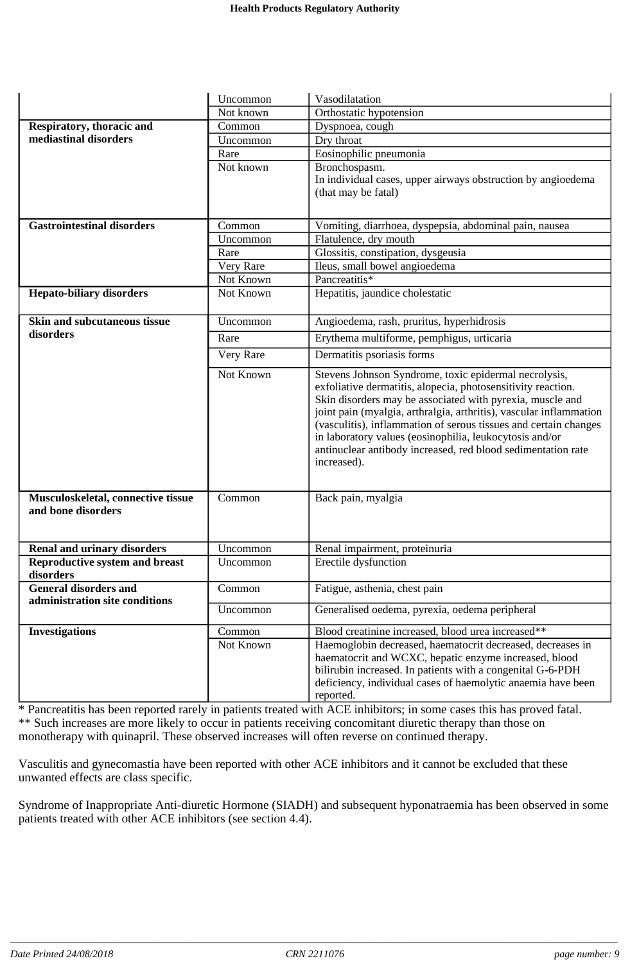|                                                                | Uncommon  | Vasodilatation                                                                                                                                                                                                                                                                                                                                                                                                                                                         |
|----------------------------------------------------------------|-----------|------------------------------------------------------------------------------------------------------------------------------------------------------------------------------------------------------------------------------------------------------------------------------------------------------------------------------------------------------------------------------------------------------------------------------------------------------------------------|
|                                                                | Not known | Orthostatic hypotension                                                                                                                                                                                                                                                                                                                                                                                                                                                |
| Respiratory, thoracic and                                      | Common    | Dyspnoea, cough                                                                                                                                                                                                                                                                                                                                                                                                                                                        |
| mediastinal disorders                                          | Uncommon  | Dry throat                                                                                                                                                                                                                                                                                                                                                                                                                                                             |
|                                                                | Rare      | Eosinophilic pneumonia                                                                                                                                                                                                                                                                                                                                                                                                                                                 |
|                                                                | Not known | Bronchospasm.                                                                                                                                                                                                                                                                                                                                                                                                                                                          |
|                                                                |           | In individual cases, upper airways obstruction by angioedema                                                                                                                                                                                                                                                                                                                                                                                                           |
|                                                                |           | (that may be fatal)                                                                                                                                                                                                                                                                                                                                                                                                                                                    |
|                                                                |           |                                                                                                                                                                                                                                                                                                                                                                                                                                                                        |
| <b>Gastrointestinal disorders</b>                              | Common    | Vomiting, diarrhoea, dyspepsia, abdominal pain, nausea                                                                                                                                                                                                                                                                                                                                                                                                                 |
|                                                                | Uncommon  | Flatulence, dry mouth                                                                                                                                                                                                                                                                                                                                                                                                                                                  |
|                                                                | Rare      | Glossitis, constipation, dysgeusia                                                                                                                                                                                                                                                                                                                                                                                                                                     |
|                                                                | Very Rare | Ileus, small bowel angioedema                                                                                                                                                                                                                                                                                                                                                                                                                                          |
|                                                                | Not Known | Pancreatitis*                                                                                                                                                                                                                                                                                                                                                                                                                                                          |
| <b>Hepato-biliary disorders</b>                                | Not Known | Hepatitis, jaundice cholestatic                                                                                                                                                                                                                                                                                                                                                                                                                                        |
| Skin and subcutaneous tissue                                   | Uncommon  | Angioedema, rash, pruritus, hyperhidrosis                                                                                                                                                                                                                                                                                                                                                                                                                              |
| disorders                                                      | Rare      | Erythema multiforme, pemphigus, urticaria                                                                                                                                                                                                                                                                                                                                                                                                                              |
|                                                                | Very Rare | Dermatitis psoriasis forms                                                                                                                                                                                                                                                                                                                                                                                                                                             |
|                                                                | Not Known | Stevens Johnson Syndrome, toxic epidermal necrolysis,<br>exfoliative dermatitis, alopecia, photosensitivity reaction.<br>Skin disorders may be associated with pyrexia, muscle and<br>joint pain (myalgia, arthralgia, arthritis), vascular inflammation<br>(vasculitis), inflammation of serous tissues and certain changes<br>in laboratory values (eosinophilia, leukocytosis and/or<br>antinuclear antibody increased, red blood sedimentation rate<br>increased). |
| Musculoskeletal, connective tissue<br>and bone disorders       | Common    | Back pain, myalgia                                                                                                                                                                                                                                                                                                                                                                                                                                                     |
| <b>Renal and urinary disorders</b>                             | Uncommon  | Renal impairment, proteinuria                                                                                                                                                                                                                                                                                                                                                                                                                                          |
| <b>Reproductive system and breast</b><br>disorders             | Uncommon  | Erectile dysfunction                                                                                                                                                                                                                                                                                                                                                                                                                                                   |
| <b>General disorders and</b><br>administration site conditions | Common    | Fatigue, asthenia, chest pain                                                                                                                                                                                                                                                                                                                                                                                                                                          |
|                                                                | Uncommon  | Generalised oedema, pyrexia, oedema peripheral                                                                                                                                                                                                                                                                                                                                                                                                                         |
| <b>Investigations</b>                                          | Common    | Blood creatinine increased, blood urea increased**                                                                                                                                                                                                                                                                                                                                                                                                                     |
|                                                                | Not Known | Haemoglobin decreased, haematocrit decreased, decreases in<br>haematocrit and WCXC, hepatic enzyme increased, blood<br>bilirubin increased. In patients with a congenital G-6-PDH<br>deficiency, individual cases of haemolytic anaemia have been<br>reported.                                                                                                                                                                                                         |

\* Pancreatitis has been reported rarely in patients treated with ACE inhibitors; in some cases this has proved fatal. \*\* Such increases are more likely to occur in patients receiving concomitant diuretic therapy than those on monotherapy with quinapril. These observed increases will often reverse on continued therapy.

Vasculitis and gynecomastia have been reported with other ACE inhibitors and it cannot be excluded that these unwanted effects are class specific.

Syndrome of Inappropriate Anti-diuretic Hormone (SIADH) and subsequent hyponatraemia has been observed in some patients treated with other ACE inhibitors (see section 4.4).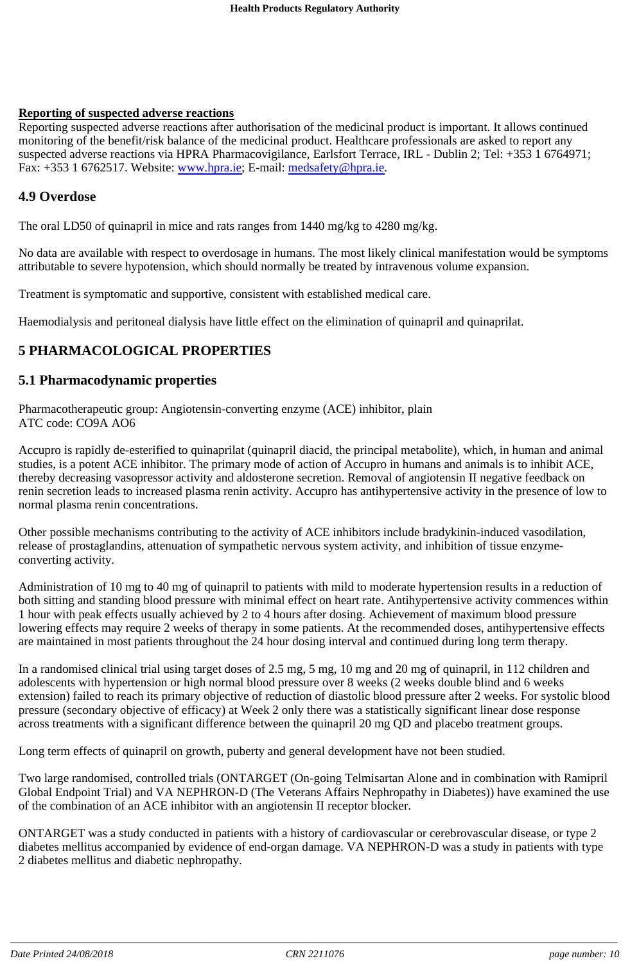### **Reporting of suspected adverse reactions**

Reporting suspected adverse reactions after authorisation of the medicinal product is important. It allows continued monitoring of the benefit/risk balance of the medicinal product. Healthcare professionals are asked to report any suspected adverse reactions via HPRA Pharmacovigilance, Earlsfort Terrace, IRL - Dublin 2; Tel: +353 1 6764971; Fax: +353 1 6762517. Website: www.hpra.ie; E-mail: medsafety@hpra.ie.

### **4.9 Overdose**

The oral LD50 of quinapril in mice and rats ranges from 1440 mg/kg to 4280 mg/kg.

No data are available with respect to overdosage in humans. The most likely clinical manifestation would be symptoms attributable to severe hypotension, which should normally be treated by intravenous volume expansion.

Treatment is symptomatic and supportive, consistent with established medical care.

Haemodialysis and peritoneal dialysis have little effect on the elimination of quinapril and quinaprilat.

# **5 PHARMACOLOGICAL PROPERTIES**

### **5.1 Pharmacodynamic properties**

Pharmacotherapeutic group: Angiotensin-converting enzyme (ACE) inhibitor, plain ATC code: CO9A AO6

Accupro is rapidly de-esterified to quinaprilat (quinapril diacid, the principal metabolite), which, in human and animal studies, is a potent ACE inhibitor. The primary mode of action of Accupro in humans and animals is to inhibit ACE, thereby decreasing vasopressor activity and aldosterone secretion. Removal of angiotensin II negative feedback on renin secretion leads to increased plasma renin activity. Accupro has antihypertensive activity in the presence of low to normal plasma renin concentrations.

Other possible mechanisms contributing to the activity of ACE inhibitors include bradykinin-induced vasodilation, release of prostaglandins, attenuation of sympathetic nervous system activity, and inhibition of tissue enzymeconverting activity.

Administration of 10 mg to 40 mg of quinapril to patients with mild to moderate hypertension results in a reduction of both sitting and standing blood pressure with minimal effect on heart rate. Antihypertensive activity commences within 1 hour with peak effects usually achieved by 2 to 4 hours after dosing. Achievement of maximum blood pressure lowering effects may require 2 weeks of therapy in some patients. At the recommended doses, antihypertensive effects are maintained in most patients throughout the 24 hour dosing interval and continued during long term therapy.

In a randomised clinical trial using target doses of 2.5 mg, 5 mg, 10 mg and 20 mg of quinapril, in 112 children and adolescents with hypertension or high normal blood pressure over 8 weeks (2 weeks double blind and 6 weeks extension) failed to reach its primary objective of reduction of diastolic blood pressure after 2 weeks. For systolic blood pressure (secondary objective of efficacy) at Week 2 only there was a statistically significant linear dose response across treatments with a significant difference between the quinapril 20 mg QD and placebo treatment groups.

Long term effects of quinapril on growth, puberty and general development have not been studied.

Two large randomised, controlled trials (ONTARGET (On-going Telmisartan Alone and in combination with Ramipril Global Endpoint Trial) and VA NEPHRON-D (The Veterans Affairs Nephropathy in Diabetes)) have examined the use of the combination of an ACE inhibitor with an angiotensin II receptor blocker.

ONTARGET was a study conducted in patients with a history of cardiovascular or cerebrovascular disease, or type 2 diabetes mellitus accompanied by evidence of end-organ damage. VA NEPHRON-D was a study in patients with type 2 diabetes mellitus and diabetic nephropathy.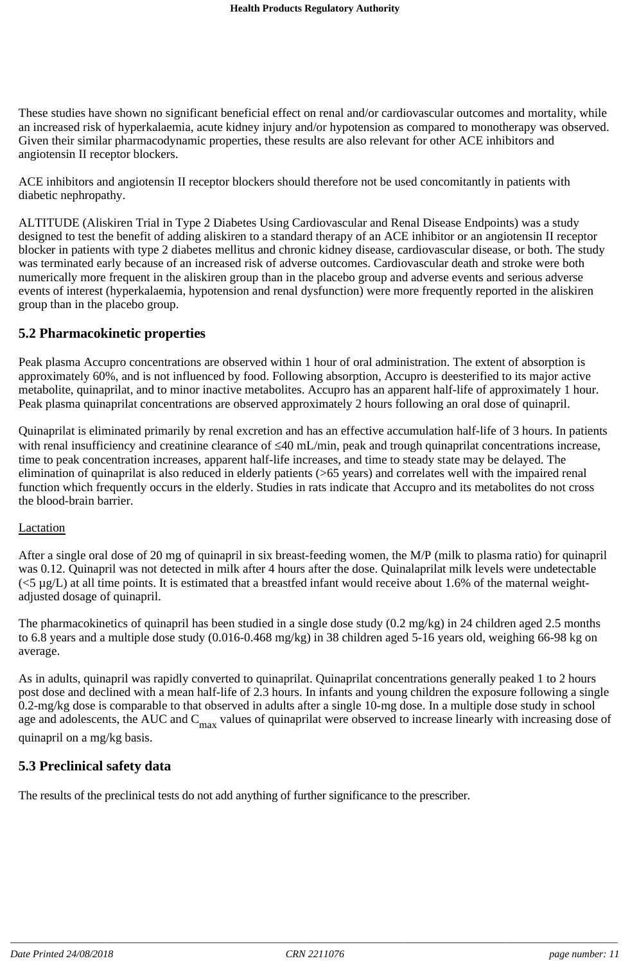These studies have shown no significant beneficial effect on renal and/or cardiovascular outcomes and mortality, while an increased risk of hyperkalaemia, acute kidney injury and/or hypotension as compared to monotherapy was observed. Given their similar pharmacodynamic properties, these results are also relevant for other ACE inhibitors and angiotensin II receptor blockers.

ACE inhibitors and angiotensin II receptor blockers should therefore not be used concomitantly in patients with diabetic nephropathy.

ALTITUDE (Aliskiren Trial in Type 2 Diabetes Using Cardiovascular and Renal Disease Endpoints) was a study designed to test the benefit of adding aliskiren to a standard therapy of an ACE inhibitor or an angiotensin II receptor blocker in patients with type 2 diabetes mellitus and chronic kidney disease, cardiovascular disease, or both. The study was terminated early because of an increased risk of adverse outcomes. Cardiovascular death and stroke were both numerically more frequent in the aliskiren group than in the placebo group and adverse events and serious adverse events of interest (hyperkalaemia, hypotension and renal dysfunction) were more frequently reported in the aliskiren group than in the placebo group.

### **5.2 Pharmacokinetic properties**

Peak plasma Accupro concentrations are observed within 1 hour of oral administration. The extent of absorption is approximately 60%, and is not influenced by food. Following absorption, Accupro is deesterified to its major active metabolite, quinaprilat, and to minor inactive metabolites. Accupro has an apparent half-life of approximately 1 hour. Peak plasma quinaprilat concentrations are observed approximately 2 hours following an oral dose of quinapril.

Quinaprilat is eliminated primarily by renal excretion and has an effective accumulation half-life of 3 hours. In patients with renal insufficiency and creatinine clearance of  $\leq 40$  mL/min, peak and trough quinaprilat concentrations increase, time to peak concentration increases, apparent half-life increases, and time to steady state may be delayed. The elimination of quinaprilat is also reduced in elderly patients (>65 years) and correlates well with the impaired renal function which frequently occurs in the elderly. Studies in rats indicate that Accupro and its metabolites do not cross the blood-brain barrier.

#### **Lactation**

After a single oral dose of 20 mg of quinapril in six breast-feeding women, the M/P (milk to plasma ratio) for quinapril was 0.12. Quinapril was not detected in milk after 4 hours after the dose. Quinalaprilat milk levels were undetectable  $(<5 \mu g/L$ ) at all time points. It is estimated that a breastfed infant would receive about 1.6% of the maternal weightadjusted dosage of quinapril.

The pharmacokinetics of quinapril has been studied in a single dose study (0.2 mg/kg) in 24 children aged 2.5 months to 6.8 years and a multiple dose study (0.016-0.468 mg/kg) in 38 children aged 5-16 years old, weighing 66-98 kg on average.

As in adults, quinapril was rapidly converted to quinaprilat. Quinaprilat concentrations generally peaked 1 to 2 hours post dose and declined with a mean half-life of 2.3 hours. In infants and young children the exposure following a single 0.2-mg/kg dose is comparable to that observed in adults after a single 10-mg dose. In a multiple dose study in school age and adolescents, the AUC and  $C_{\text{max}}$  values of quinaprilat were observed to increase linearly with increasing dose of quinapril on a mg/kg basis.

### **5.3 Preclinical safety data**

The results of the preclinical tests do not add anything of further significance to the prescriber.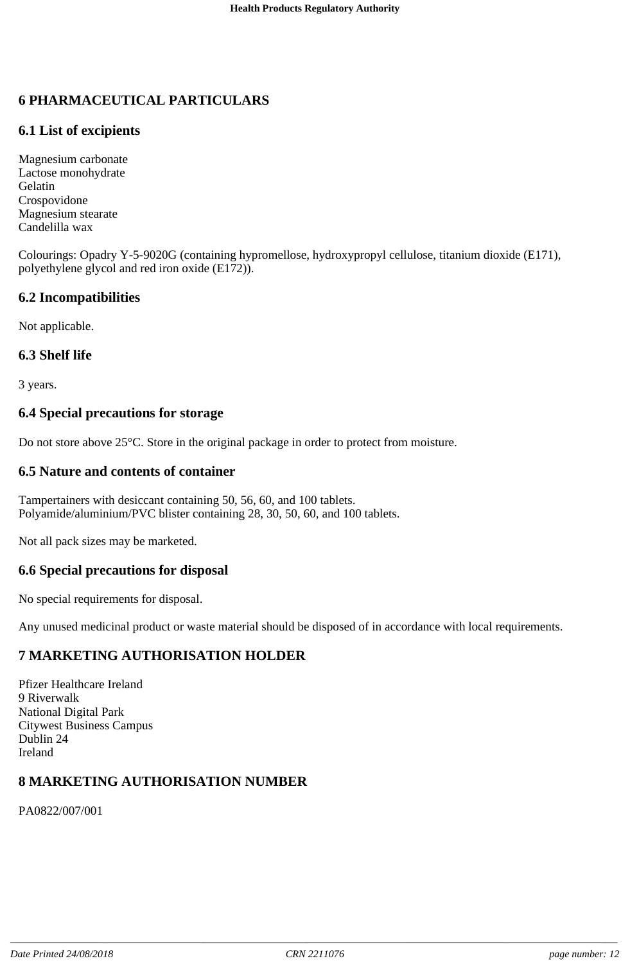# **6 PHARMACEUTICAL PARTICULARS**

# **6.1 List of excipients**

Magnesium carbonate Lactose monohydrate Gelatin Crospovidone Magnesium stearate Candelilla wax

Colourings: Opadry Y-5-9020G (containing hypromellose, hydroxypropyl cellulose, titanium dioxide (E171), polyethylene glycol and red iron oxide (E172)).

### **6.2 Incompatibilities**

Not applicable.

### **6.3 Shelf life**

3 years.

### **6.4 Special precautions for storage**

Do not store above 25°C. Store in the original package in order to protect from moisture.

### **6.5 Nature and contents of container**

Tampertainers with desiccant containing 50, 56, 60, and 100 tablets. Polyamide/aluminium/PVC blister containing 28, 30, 50, 60, and 100 tablets.

Not all pack sizes may be marketed.

### **6.6 Special precautions for disposal**

No special requirements for disposal.

Any unused medicinal product or waste material should be disposed of in accordance with local requirements.

### **7 MARKETING AUTHORISATION HOLDER**

Pfizer Healthcare Ireland 9 Riverwalk National Digital Park Citywest Business Campus Dublin 24 Ireland

# **8 MARKETING AUTHORISATION NUMBER**

PA0822/007/001